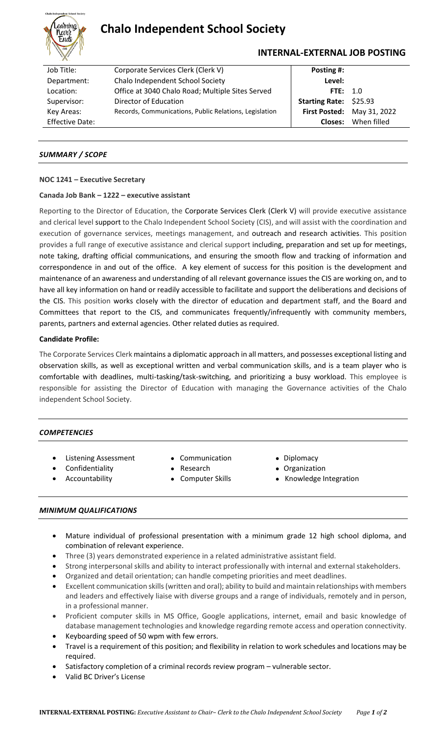

# **Chalo Independent School Society**

## **INTERNAL-EXTERNAL JOB POSTING**

| Job Title:             | Corporate Services Clerk (Clerk V)                     | Posting #:                    |                            |
|------------------------|--------------------------------------------------------|-------------------------------|----------------------------|
| Department:            | Chalo Independent School Society                       | Level:                        |                            |
| Location:              | Office at 3040 Chalo Road; Multiple Sites Served       | FTE: $1.0$                    |                            |
| Supervisor:            | Director of Education                                  | <b>Starting Rate: \$25.93</b> |                            |
| Key Areas:             | Records, Communications, Public Relations, Legislation |                               | First Posted: May 31, 2022 |
| <b>Effective Date:</b> |                                                        | Closes:                       | When filled                |

## *SUMMARY / SCOPE*

#### **NOC 1241 – Executive Secretary**

#### **Canada Job Bank – 1222 – executive assistant**

Reporting to the Director of Education, the Corporate Services Clerk (Clerk V) will provide executive assistance and clerical level support to the Chalo Independent School Society (CIS), and will assist with the coordination and execution of governance services, meetings management, and outreach and research activities. This position provides a full range of executive assistance and clerical support including, preparation and set up for meetings, note taking, drafting official communications, and ensuring the smooth flow and tracking of information and correspondence in and out of the office. A key element of success for this position is the development and maintenance of an awareness and understanding of all relevant governance issues the CIS are working on, and to have all key information on hand or readily accessible to facilitate and support the deliberations and decisions of the CIS. This position works closely with the director of education and department staff, and the Board and Committees that report to the CIS, and communicates frequently/infrequently with community members, parents, partners and external agencies. Other related duties as required.

### **Candidate Profile:**

The Corporate Services Clerk maintains a diplomatic approach in all matters, and possesses exceptional listing and observation skills, as well as exceptional written and verbal communication skills, and is a team player who is comfortable with deadlines, multi-tasking/task-switching, and prioritizing a busy workload. This employee is responsible for assisting the Director of Education with managing the Governance activities of the Chalo independent School Society.

#### *COMPETENCIES*

- Listening Assessment Communication Diplomacy
	-
- Confidentiality **•** Research **•** Organization
	-
- 
- 
- Accountability **•** Computer Skills Knowledge Integration

## *MINIMUM QUALIFICATIONS*

- Mature individual of professional presentation with a minimum grade 12 high school diploma, and combination of relevant experience.
- Three (3) years demonstrated experience in a related administrative assistant field.
- Strong interpersonal skills and ability to interact professionally with internal and external stakeholders.
- Organized and detail orientation; can handle competing priorities and meet deadlines.
- Excellent communication skills (written and oral); ability to build and maintain relationships with members and leaders and effectively liaise with diverse groups and a range of individuals, remotely and in person, in a professional manner.
- Proficient computer skills in MS Office, Google applications, internet, email and basic knowledge of database management technologies and knowledge regarding remote access and operation connectivity.
- Keyboarding speed of 50 wpm with few errors.
- Travel is a requirement of this position; and flexibility in relation to work schedules and locations may be required.
- Satisfactory completion of a criminal records review program vulnerable sector.
- Valid BC Driver's License